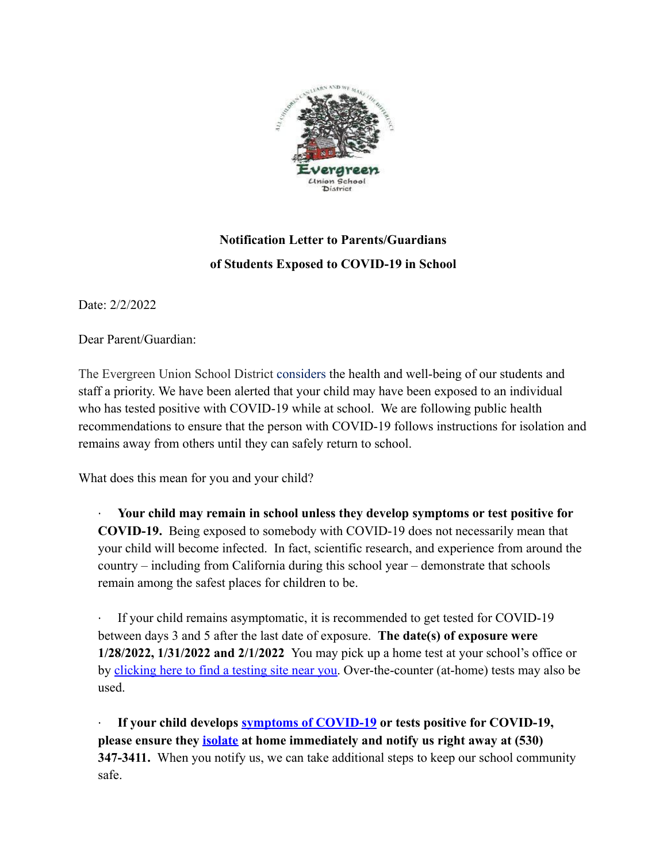

## **Notification Letter to Parents/Guardians of Students Exposed to COVID-19 in School**

Date: 2/2/2022

Dear Parent/Guardian:

The Evergreen Union School District considers the health and well-being of our students and staff a priority. We have been alerted that your child may have been exposed to an individual who has tested positive with COVID-19 while at school. We are following public health recommendations to ensure that the person with COVID-19 follows instructions for isolation and remains away from others until they can safely return to school.

What does this mean for you and your child?

· **Your child may remain in school unless they develop symptoms or test positive for COVID-19.** Being exposed to somebody with COVID-19 does not necessarily mean that your child will become infected. In fact, scientific research, and experience from around the country – including from California during this school year – demonstrate that schools remain among the safest places for children to be.

If your child remains asymptomatic, it is recommended to get tested for COVID-19 between days 3 and 5 after the last date of exposure. **The date(s) of exposure were 1/28/2022, 1/31/2022 and 2/1/2022** You may pick up a home test at your school's office or by [clicking here to find a testing site near you.](https://www.arcgis.com/apps/Nearby/index.html?appid=43118dc0d5d348d8ab20a81967a15401) Over-the-counter (at-home) tests may also be used.

· **If your child develops [symptoms of COVID-19](https://www.cdc.gov/coronavirus/2019-ncov/symptoms-testing/symptoms.html) or tests positive for COVID-19, please ensure they [isolate](https://www.cdph.ca.gov/Programs/CID/DCDC/Pages/COVID-19/Guidance-on-Isolation-and-Quarantine-for-COVID-19-Contact-Tracing.aspx) at home immediately and notify us right away at (530) 347-3411.** When you notify us, we can take additional steps to keep our school community safe.